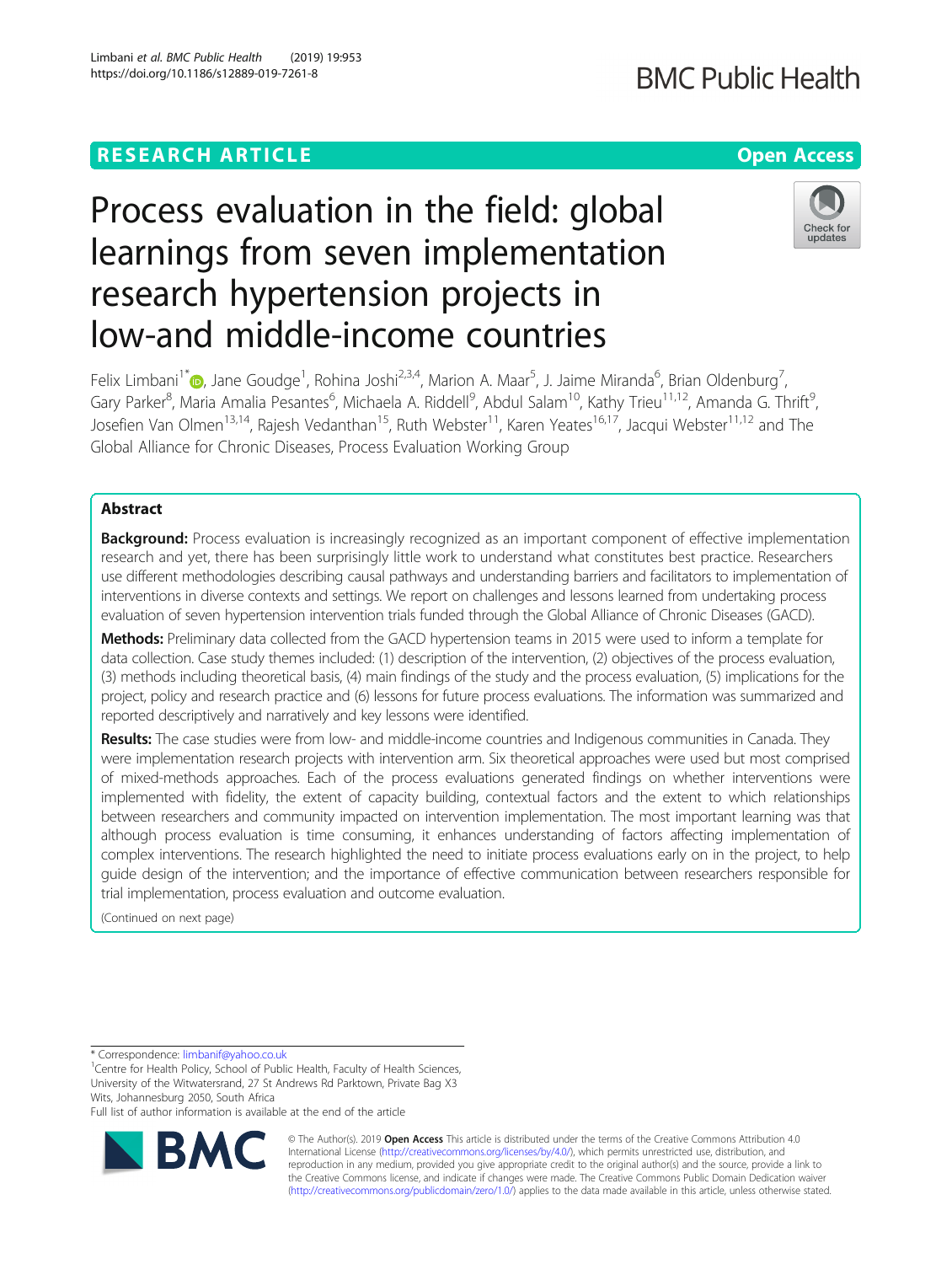# **RESEARCH ARTICLE Example 2014 12:30 The Contract of Contract ACCESS**

# Process evaluation in the field: global learnings from seven implementation research hypertension projects in low-and middle-income countries

Felix Limbani<sup>1\*</sup>�, Jane Goudge<sup>1</sup>, Rohina Joshi<sup>2,3,4</sup>, Marion A. Maar<sup>5</sup>, J. Jaime Miranda<sup>6</sup>, Brian Oldenburg<sup>7</sup> , Gary Parker<sup>8</sup>, Maria Amalia Pesantes<sup>6</sup>, Michaela A. Riddell<sup>9</sup>, Abdul Salam<sup>10</sup>, Kathy Trieu<sup>11,12</sup>, Amanda G. Thrift<sup>9</sup> , Josefien Van Olmen<sup>13,14</sup>, Rajesh Vedanthan<sup>15</sup>, Ruth Webster<sup>11</sup>, Karen Yeates<sup>16,17</sup>, Jacqui Webster<sup>11,12</sup> and The Global Alliance for Chronic Diseases, Process Evaluation Working Group

# Abstract

**Background:** Process evaluation is increasingly recognized as an important component of effective implementation research and yet, there has been surprisingly little work to understand what constitutes best practice. Researchers use different methodologies describing causal pathways and understanding barriers and facilitators to implementation of interventions in diverse contexts and settings. We report on challenges and lessons learned from undertaking process evaluation of seven hypertension intervention trials funded through the Global Alliance of Chronic Diseases (GACD).

Methods: Preliminary data collected from the GACD hypertension teams in 2015 were used to inform a template for data collection. Case study themes included: (1) description of the intervention, (2) objectives of the process evaluation, (3) methods including theoretical basis, (4) main findings of the study and the process evaluation, (5) implications for the project, policy and research practice and (6) lessons for future process evaluations. The information was summarized and reported descriptively and narratively and key lessons were identified.

Results: The case studies were from low- and middle-income countries and Indigenous communities in Canada. They were implementation research projects with intervention arm. Six theoretical approaches were used but most comprised of mixed-methods approaches. Each of the process evaluations generated findings on whether interventions were implemented with fidelity, the extent of capacity building, contextual factors and the extent to which relationships between researchers and community impacted on intervention implementation. The most important learning was that although process evaluation is time consuming, it enhances understanding of factors affecting implementation of complex interventions. The research highlighted the need to initiate process evaluations early on in the project, to help guide design of the intervention; and the importance of effective communication between researchers responsible for trial implementation, process evaluation and outcome evaluation.

(Continued on next page)

\* Correspondence: [limbanif@yahoo.co.uk](mailto:limbanif@yahoo.co.uk) <sup>1</sup>

<sup>1</sup> Centre for Health Policy, School of Public Health, Faculty of Health Sciences, University of the Witwatersrand, 27 St Andrews Rd Parktown, Private Bag X3 Wits, Johannesburg 2050, South Africa

Full list of author information is available at the end of the article



© The Author(s). 2019 **Open Access** This article is distributed under the terms of the Creative Commons Attribution 4.0 International License [\(http://creativecommons.org/licenses/by/4.0/](http://creativecommons.org/licenses/by/4.0/)), which permits unrestricted use, distribution, and reproduction in any medium, provided you give appropriate credit to the original author(s) and the source, provide a link to the Creative Commons license, and indicate if changes were made. The Creative Commons Public Domain Dedication waiver [\(http://creativecommons.org/publicdomain/zero/1.0/](http://creativecommons.org/publicdomain/zero/1.0/)) applies to the data made available in this article, unless otherwise stated.



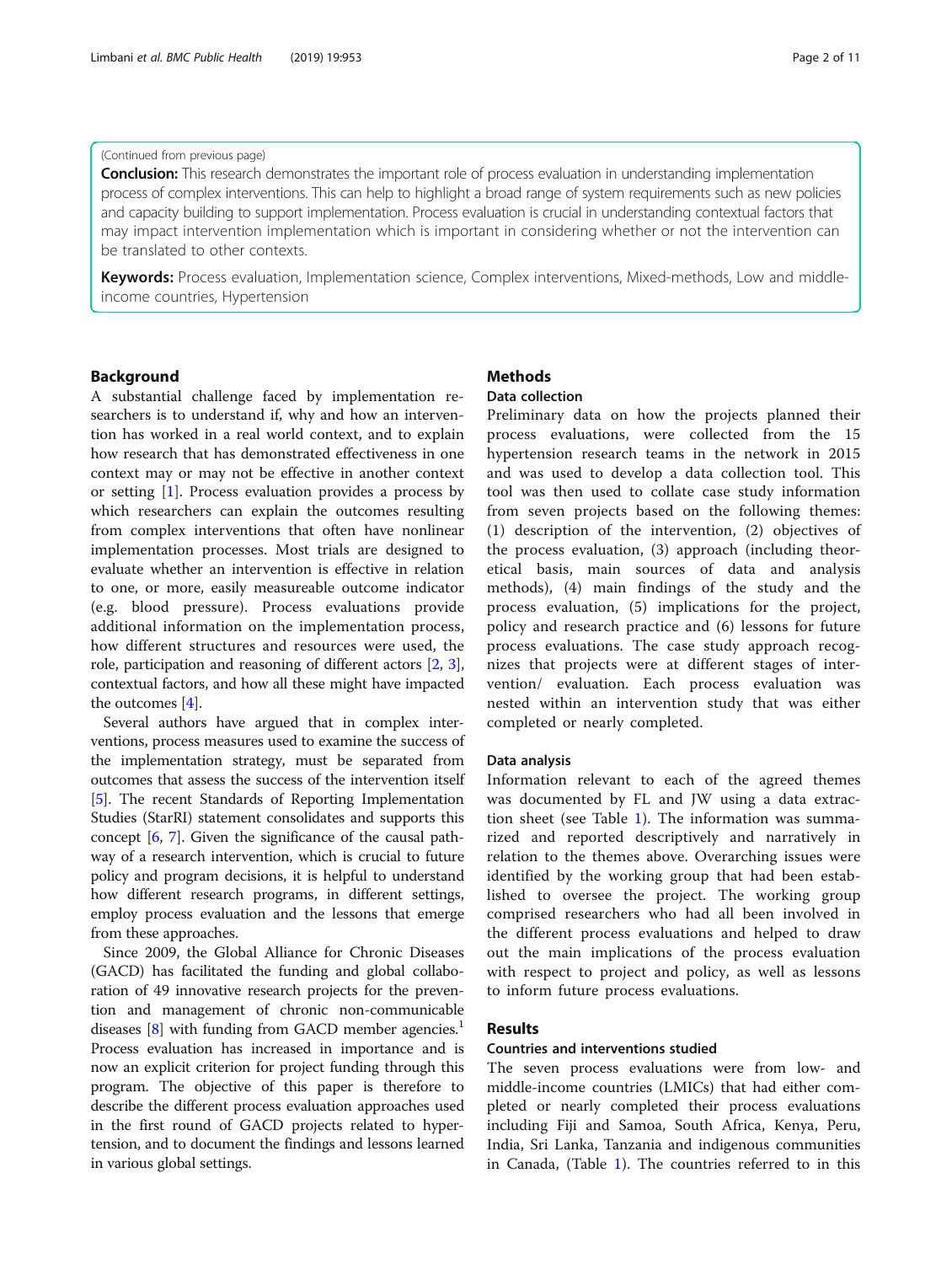# (Continued from previous page)

**Conclusion:** This research demonstrates the important role of process evaluation in understanding implementation process of complex interventions. This can help to highlight a broad range of system requirements such as new policies and capacity building to support implementation. Process evaluation is crucial in understanding contextual factors that may impact intervention implementation which is important in considering whether or not the intervention can be translated to other contexts.

Keywords: Process evaluation, Implementation science, Complex interventions, Mixed-methods, Low and middleincome countries, Hypertension

# Background

A substantial challenge faced by implementation researchers is to understand if, why and how an intervention has worked in a real world context, and to explain how research that has demonstrated effectiveness in one context may or may not be effective in another context or setting [\[1](#page-10-0)]. Process evaluation provides a process by which researchers can explain the outcomes resulting from complex interventions that often have nonlinear implementation processes. Most trials are designed to evaluate whether an intervention is effective in relation to one, or more, easily measureable outcome indicator (e.g. blood pressure). Process evaluations provide additional information on the implementation process, how different structures and resources were used, the role, participation and reasoning of different actors [\[2](#page-10-0), [3](#page-10-0)], contextual factors, and how all these might have impacted the outcomes [\[4](#page-10-0)].

Several authors have argued that in complex interventions, process measures used to examine the success of the implementation strategy, must be separated from outcomes that assess the success of the intervention itself [[5\]](#page-10-0). The recent Standards of Reporting Implementation Studies (StarRI) statement consolidates and supports this concept [\[6,](#page-10-0) [7](#page-10-0)]. Given the significance of the causal pathway of a research intervention, which is crucial to future policy and program decisions, it is helpful to understand how different research programs, in different settings, employ process evaluation and the lessons that emerge from these approaches.

Since 2009, the Global Alliance for Chronic Diseases (GACD) has facilitated the funding and global collaboration of 49 innovative research projects for the prevention and management of chronic non-communicable diseases  $[8]$  $[8]$  with funding from GACD member agencies.<sup>1</sup> Process evaluation has increased in importance and is now an explicit criterion for project funding through this program. The objective of this paper is therefore to describe the different process evaluation approaches used in the first round of GACD projects related to hypertension, and to document the findings and lessons learned in various global settings.

# **Methods**

# Data collection

Preliminary data on how the projects planned their process evaluations, were collected from the 15 hypertension research teams in the network in 2015 and was used to develop a data collection tool. This tool was then used to collate case study information from seven projects based on the following themes: (1) description of the intervention, (2) objectives of the process evaluation, (3) approach (including theoretical basis, main sources of data and analysis methods), (4) main findings of the study and the process evaluation, (5) implications for the project, policy and research practice and (6) lessons for future process evaluations. The case study approach recognizes that projects were at different stages of intervention/ evaluation. Each process evaluation was nested within an intervention study that was either completed or nearly completed.

# Data analysis

Information relevant to each of the agreed themes was documented by FL and JW using a data extraction sheet (see Table [1\)](#page-2-0). The information was summarized and reported descriptively and narratively in relation to the themes above. Overarching issues were identified by the working group that had been established to oversee the project. The working group comprised researchers who had all been involved in the different process evaluations and helped to draw out the main implications of the process evaluation with respect to project and policy, as well as lessons to inform future process evaluations.

# Results

# Countries and interventions studied

The seven process evaluations were from low- and middle-income countries (LMICs) that had either completed or nearly completed their process evaluations including Fiji and Samoa, South Africa, Kenya, Peru, India, Sri Lanka, Tanzania and indigenous communities in Canada, (Table [1](#page-2-0)). The countries referred to in this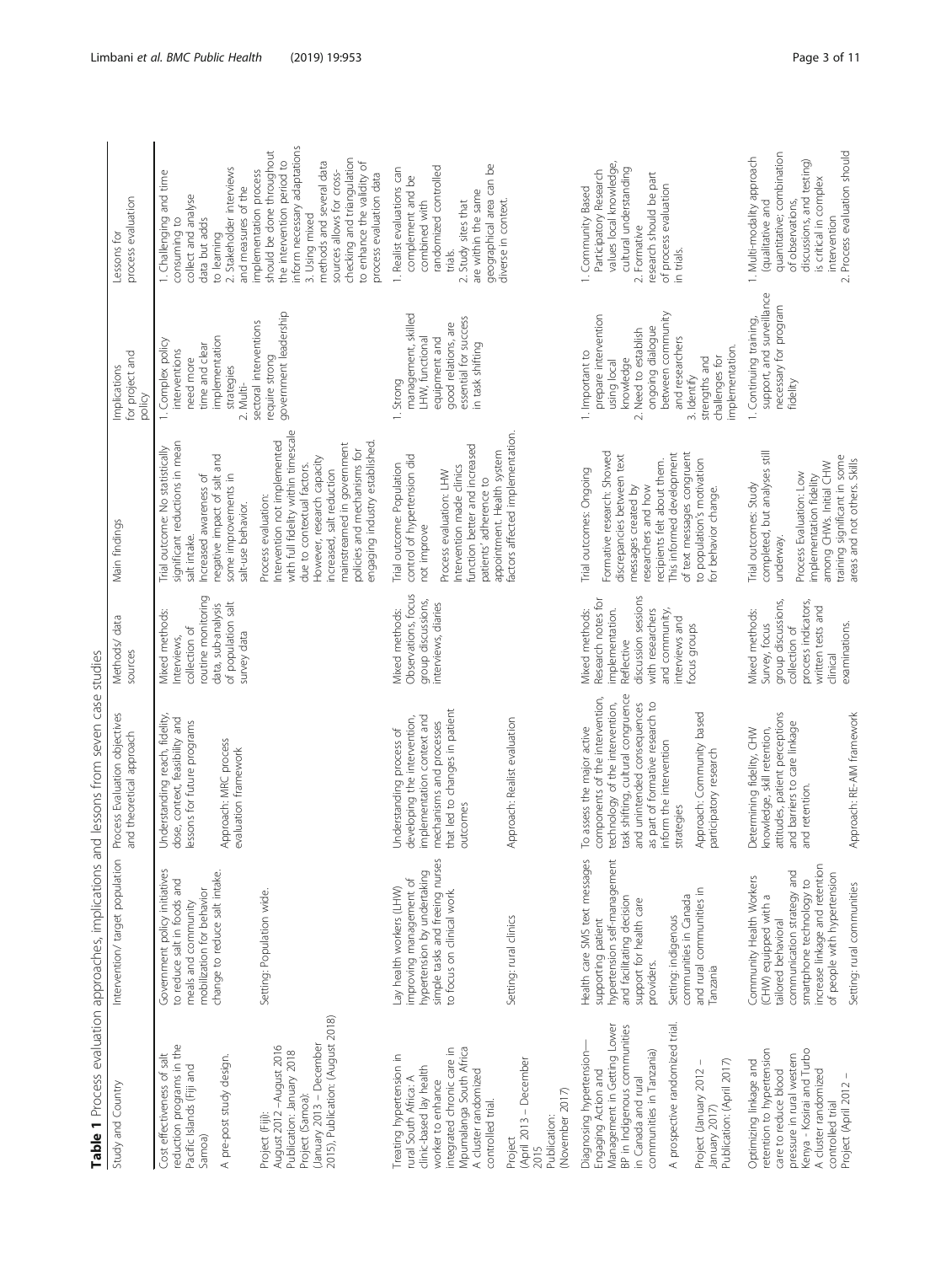<span id="page-2-0"></span>

| Study and Country                                                                                                                                              | Table 1 Process evaluation approaches, implications ar<br>Intervention/ target population                                | nd lessons from seven case studies<br>Process Evaluation objectives<br>and theoretical approach                                                                             | Methods/ data<br>sources                                                                       | Main findings                                                                                                                                                                                                                                                                      | for project and<br>Implications<br>policy                                                    | process evaluation<br>Lessons for                                                                                                                                                                                                                        |
|----------------------------------------------------------------------------------------------------------------------------------------------------------------|--------------------------------------------------------------------------------------------------------------------------|-----------------------------------------------------------------------------------------------------------------------------------------------------------------------------|------------------------------------------------------------------------------------------------|------------------------------------------------------------------------------------------------------------------------------------------------------------------------------------------------------------------------------------------------------------------------------------|----------------------------------------------------------------------------------------------|----------------------------------------------------------------------------------------------------------------------------------------------------------------------------------------------------------------------------------------------------------|
| reduction programs in the<br>Cost effectiveness of salt<br>Pacific Islands (Fiji and<br>Samoa)                                                                 | Government policy initiatives<br>to reduce salt in foods and<br>mobilization for behavior<br>meals and community         | Understanding reach, fidelity,<br>dose, context, feasibility and<br>lessons for future programs                                                                             | routine monitoring<br>Mixed methods:<br>collection of<br>Interviews,                           | significant reductions in mean<br>Trial outcome: No statistically<br>Increased awareness of<br>salt intake.                                                                                                                                                                        | 1. Complex policy<br>time and clear<br>interventions<br>need more                            | 1. Challenging and time<br>collect and analyse<br>data but adds<br>consuming to                                                                                                                                                                          |
| A pre-post study design.                                                                                                                                       | change to reduce salt intake.                                                                                            | Approach: MRC process<br>evaluation framework                                                                                                                               | of population salt<br>data, sub-analysis<br>survey data                                        | negative impact of salt and<br>some improvements in<br>salt-use behavior.                                                                                                                                                                                                          | implementation<br>strategies<br>2. Multi-                                                    | 2. Stakeholder interviews<br>and measures of the<br>to learning                                                                                                                                                                                          |
| 2015), Publication: (August 2018)<br>(January 2013 - December<br>August 2012 - August 2016<br>Publication: January 2018<br>Project (Samoa):<br>Project (Fiji): | Setting: Population wide.                                                                                                |                                                                                                                                                                             |                                                                                                | with full fidelity within timescale<br>Intervention not implemented<br>engaging industry established.<br>mainstreamed in government<br>policies and mechanisms for<br>However, research capacity<br>due to contextual factors.<br>increased, salt reduction<br>Process evaluation: | government leadership<br>sectoral interventions<br>require strong                            | inform necessary adaptations<br>should be done throughout<br>checking and triangulation<br>the intervention period to<br>methods and several data<br>to enhance the validity of<br>implementation process<br>sources allows for cross-<br>3. Using mixed |
|                                                                                                                                                                |                                                                                                                          |                                                                                                                                                                             |                                                                                                |                                                                                                                                                                                                                                                                                    |                                                                                              | process evaluation data                                                                                                                                                                                                                                  |
| Treating hypertension in<br>clinic-based lay health<br>rural South Africa: A                                                                                   | hypertension by undertaking<br>improving management of<br>Lay health workers (LHW)                                       | implementation context and<br>developing the intervention,<br>Understanding process of                                                                                      | Observations, focus<br>group discussions,<br>Mixed methods:                                    | control of hypertension did<br>Trial outcome: Population<br>not improve                                                                                                                                                                                                            | management, skilled<br>LHW, functional<br>1. Strong                                          | 1. Realist evaluations can<br>complement and be<br>combined with                                                                                                                                                                                         |
| Mpumalanga South Africa<br>integrated chronic care in<br>A cluster randomized<br>worker to enhance<br>controlled trial.                                        | simple tasks and freeing nurses<br>to focus on clinical work.                                                            | that led to changes in patient<br>mechanisms and processes<br>outcomes                                                                                                      | interviews, diaries                                                                            | function better and increased<br>appointment. Health system<br>Intervention made clinics<br>Process evaluation: LHW<br>patients' adherence to                                                                                                                                      | essential for success<br>good relations, are<br>equipment and<br>in task shifting            | geographical area can be<br>randomized controlled<br>are within the same<br>2. Study sites that<br>trials.                                                                                                                                               |
| (April 2013 - December<br>(November 2017)<br>Publication:<br>Project<br>2015                                                                                   | Setting: rural clinics                                                                                                   | Approach: Realist evaluation                                                                                                                                                |                                                                                                | factors affected implementation.                                                                                                                                                                                                                                                   |                                                                                              | diverse in context.                                                                                                                                                                                                                                      |
| Diagnosing hypertension-                                                                                                                                       | Health care SMS text messages                                                                                            | To assess the major active                                                                                                                                                  | Mixed methods:                                                                                 | Trial outcomes: Ongoing                                                                                                                                                                                                                                                            | 1. Important to                                                                              | 1. Community Based                                                                                                                                                                                                                                       |
| Management in Getting Lower<br>BP in Indigenous communities<br>communities in Tanzania)<br>Engaging Action and<br>in Canada and rural                          | hypertension self-management<br>and facilitating decision<br>support for health care<br>supporting patient<br>providers. | task shifting, cultural congruence<br>components of the intervention,<br>technology of the intervention,<br>as part of formative research to<br>and unintended consequences | discussion sessions<br>Research notes for<br>implementation.<br>with researchers<br>Reflective | Formative research: Showed<br>discrepancies between text<br>recipients felt about them.<br>messages created by<br>researchers and how                                                                                                                                              | prepare intervention<br>ongoing dialogue<br>2. Need to establish<br>knowledge<br>using local | values local knowledge,<br>cultural understanding<br>Participatory Research<br>research should be part<br>2. Formative                                                                                                                                   |
| A prospective randomized trial.                                                                                                                                | communities in Canada<br>Setting: indigenous                                                                             | inform the intervention<br>strategies                                                                                                                                       | and community,<br>nterviews and                                                                | This informed development<br>of text messages congruent                                                                                                                                                                                                                            | between community<br>and researchers                                                         | of process evaluation<br>in trials.                                                                                                                                                                                                                      |
| Publication: (April 2017)<br>Project (January 2012<br>January 2017)                                                                                            | and rural communities in<br>Tanzania                                                                                     | Approach: Community based<br>participatory research                                                                                                                         | focus groups                                                                                   | to population's motivation<br>for behavior change.                                                                                                                                                                                                                                 | implementation.<br>strengths and<br>challenges for<br>3. Identify                            |                                                                                                                                                                                                                                                          |
| retention to hypertension<br>Optimizing linkage and<br>care to reduce blood                                                                                    | Community Health Workers<br>(CHW) equipped with a<br>tailored behavioral                                                 | attitudes, patient perceptions<br>Determining fidelity, CHW<br>knowledge, skill retention,                                                                                  | group discussions,<br>Mixed methods:<br>Survey, focus                                          | completed, but analyses still<br>Trial outcomes: Study<br>underway.                                                                                                                                                                                                                | support, and surveillance<br>necessary for program<br>1. Continuing training,                | quantitative; combination<br>1. Multi-modality approach<br>(qualitative and                                                                                                                                                                              |
| Kenya - Kosirai and Turbo<br>pressure in rural western<br>A cluster randomized<br>controlled trial                                                             | increase linkage and retention<br>communication strategy and<br>of people with hypertension<br>smartphone technology to  | and barriers to care linkage<br>and retention.                                                                                                                              | process indicators,<br>written tests and<br>collection of<br>clinical                          | among CHWs. Initial CHW<br>Process Evaluation: Low<br>implementation fidelity                                                                                                                                                                                                      | fidelity                                                                                     | discussions, and testing)<br>is critical in complex<br>of observations,<br>intervention                                                                                                                                                                  |
| Project (April 2012                                                                                                                                            | Setting: rural communities                                                                                               | Approach: RE-AIM framework                                                                                                                                                  | examinations.                                                                                  | training significant in some<br>areas and not others. Skills                                                                                                                                                                                                                       |                                                                                              | 2. Process evaluation should                                                                                                                                                                                                                             |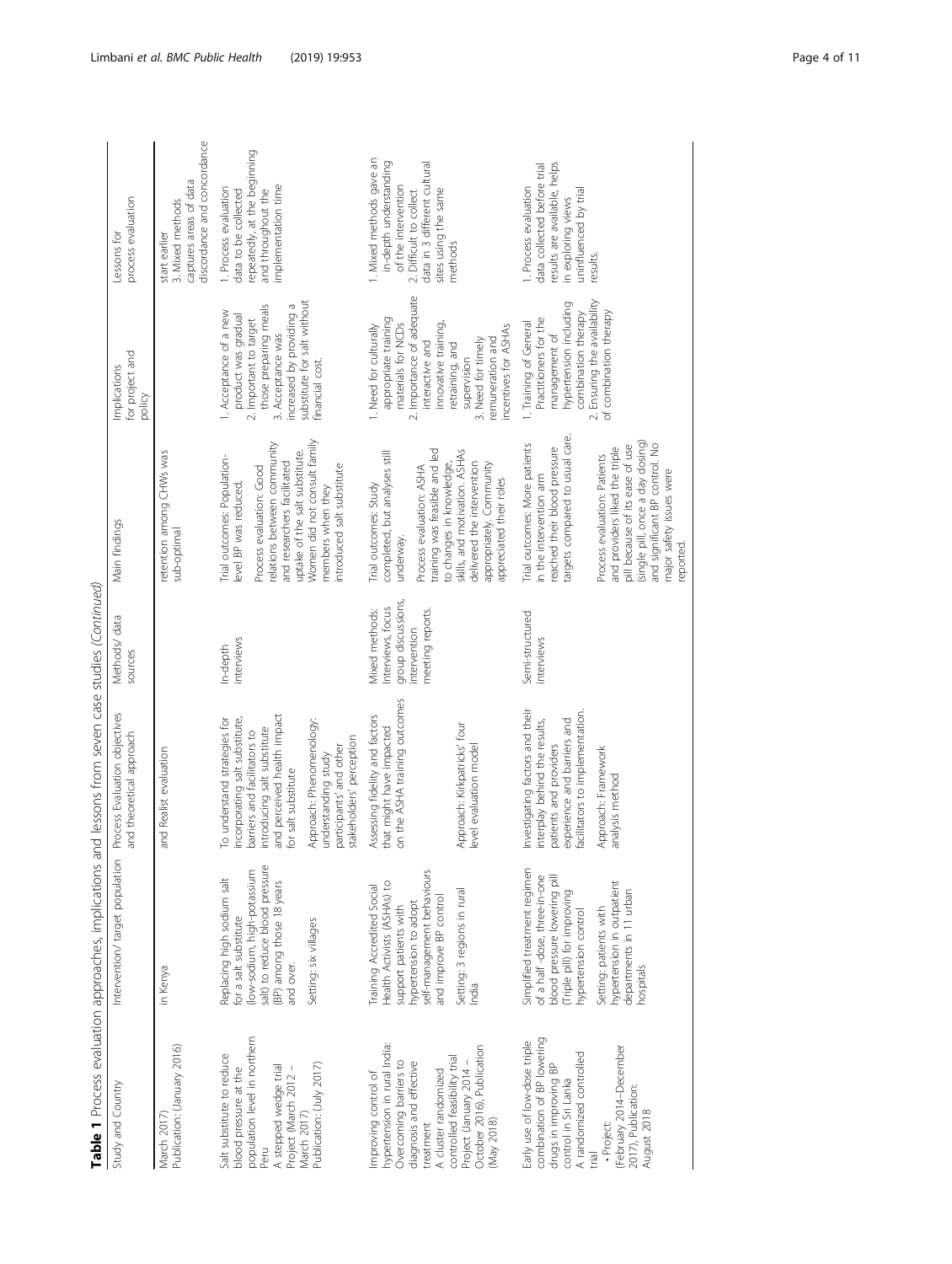|                                                                                                                                                | Table 1 Process evaluation approaches, implications and lessons from seven case studies (Continued)                                                                 |                                                                                                                                                                                     |                                                                                              |                                                                                                                                                                                                                  |                                                                                                                                                   |                                                                                                                                                              |
|------------------------------------------------------------------------------------------------------------------------------------------------|---------------------------------------------------------------------------------------------------------------------------------------------------------------------|-------------------------------------------------------------------------------------------------------------------------------------------------------------------------------------|----------------------------------------------------------------------------------------------|------------------------------------------------------------------------------------------------------------------------------------------------------------------------------------------------------------------|---------------------------------------------------------------------------------------------------------------------------------------------------|--------------------------------------------------------------------------------------------------------------------------------------------------------------|
| Study and Country                                                                                                                              | Intervention/ target population                                                                                                                                     | Process Evaluation objectives<br>and theoretical approach                                                                                                                           | Methods/ data<br>sources                                                                     | Main findings                                                                                                                                                                                                    | for project and<br>Implications<br>policy                                                                                                         | process evaluation<br>Lessons for                                                                                                                            |
| Publication: (January 2016)<br>March 2017)                                                                                                     | in Kenya                                                                                                                                                            | and Realist evaluation                                                                                                                                                              |                                                                                              | retention among CHWs was<br>sub-optimal                                                                                                                                                                          |                                                                                                                                                   | discordance and concordance<br>captures areas of data<br>3. Mixed methods<br>start earlier                                                                   |
| population level in northern<br>Salt substitute to reduce<br>A stepped wedge trial<br>blood pressure at the<br>Project (March 2012 -<br>Peru   | salt) to reduce blood pressure<br>(low-sodium, high-potassium<br>Replacing high sodium salt<br>(BP) among those 18 years<br>for a salt substitute<br>and over.      | and perceived health impact<br>incorporating salt substitute,<br>To understand strategies for<br>introducing salt substitute<br>barriers and facilitators to<br>for salt substitute | interviews<br>In-depth                                                                       | relations between community<br>uptake of the salt substitute.<br>Trial outcomes: Population-<br>and researchers facilitated<br>Process evaluation: Good<br>level BP was reduced,                                 | increased by providing a<br>those preparing meals<br>1. Acceptance of a new<br>product was gradual<br>2. Important to target<br>3. Acceptance was | repeatedly, at the beginning<br>implementation time<br>1. Process evaluation<br>and throughout the<br>data to be collected                                   |
| Publication: (July 2017)<br>March 2017)                                                                                                        | Setting: six villages                                                                                                                                               | Approach: Phenomenology:<br>stakeholders' perception<br>participants' and other<br>understanding study                                                                              |                                                                                              | Women did not consult family<br>introduced salt substitute<br>members when they                                                                                                                                  | substitute for salt without<br>financial cost.                                                                                                    |                                                                                                                                                              |
| hypertension in rural India:<br>diagnosis and effective<br>Overcoming barriers to<br>A cluster randomized<br>Improving control of<br>treatment | self-management behaviours<br>Health Activists (ASHAs) to<br>Training Accredited Social<br>and improve BP control<br>hypertension to adopt<br>support patients with | on the ASHA training outcomes<br>Assessing fidelity and factors<br>that might have impacted                                                                                         | group discussions,<br>nterviews, focus<br>Mixed methods:<br>meeting reports.<br>intervention | training was feasible and led<br>completed, but analyses still<br>Process evaluation: ASHA<br>Trial outcomes: Study<br>underway.                                                                                 | 2. Importance of adequate<br>appropriate training<br>materials for NCDs<br>innovative training,<br>1. Need for culturally<br>interactive and      | 1. Mixed methods gave an<br>in-depth understanding<br>data in 3 different cultural<br>of the intervention<br>sites using the same<br>2. Difficult to collect |
| October 2016), Publication<br>controlled feasibility trial<br>Project (January 2014 -<br>(May 2018)                                            | Setting: 3 regions in rural<br>India                                                                                                                                | Approach: Kirkpatricks' four<br>level evaluation model                                                                                                                              |                                                                                              | skills, and motivation. ASHAs<br>to changes in knowledge,<br>delivered the intervention<br>appropriately. Community<br>appreciated their roles                                                                   | incentives for ASHAs<br>3. Need for timely<br>remuneration and<br>retraining, and<br>supervision                                                  | methods                                                                                                                                                      |
| combination of BP lowering<br>Early use of low-dose triple<br>A randomized controlled<br>drugs in improving BP<br>control in Sri Lanka         | Simplified treatment regimen<br>of a half -dose, three-in-one<br>blood pressure lowering pill<br>(Triple pill) for improving<br>hypertension control                | Investigating factors and their<br>facilitators to implementation<br>interplay behind the results,<br>experience and barriers and<br>patients and providers                         | Semi-structured<br>interviews                                                                | targets compared to usual care.<br>Trial outcomes: More patients<br>reached their blood pressure<br>in the intervention arm                                                                                      | hypertension including<br>combination therapy<br>Practitioners for the<br>1. Training of General<br>management of                                 | results are available, helps<br>data collected before trial<br>1. Process evaluation<br>uninfluenced by trial<br>in exploring views                          |
| (February 2014-December<br>2017), Publication:<br>August 2018<br>· Project:                                                                    | hypertension in outpatient<br>departments in 11 urban<br>Setting: patients with<br>rospitals                                                                        | Approach: Framework<br>analysis method                                                                                                                                              |                                                                                              | (single pill, once a day dosing)<br>and significant BP control. No<br>pill because of its ease of use<br>and providers liked the triple<br>Process evaluation: Patients<br>major safety issues were<br>reported. | 2. Ensuring the availability<br>of combination therapy                                                                                            | results.                                                                                                                                                     |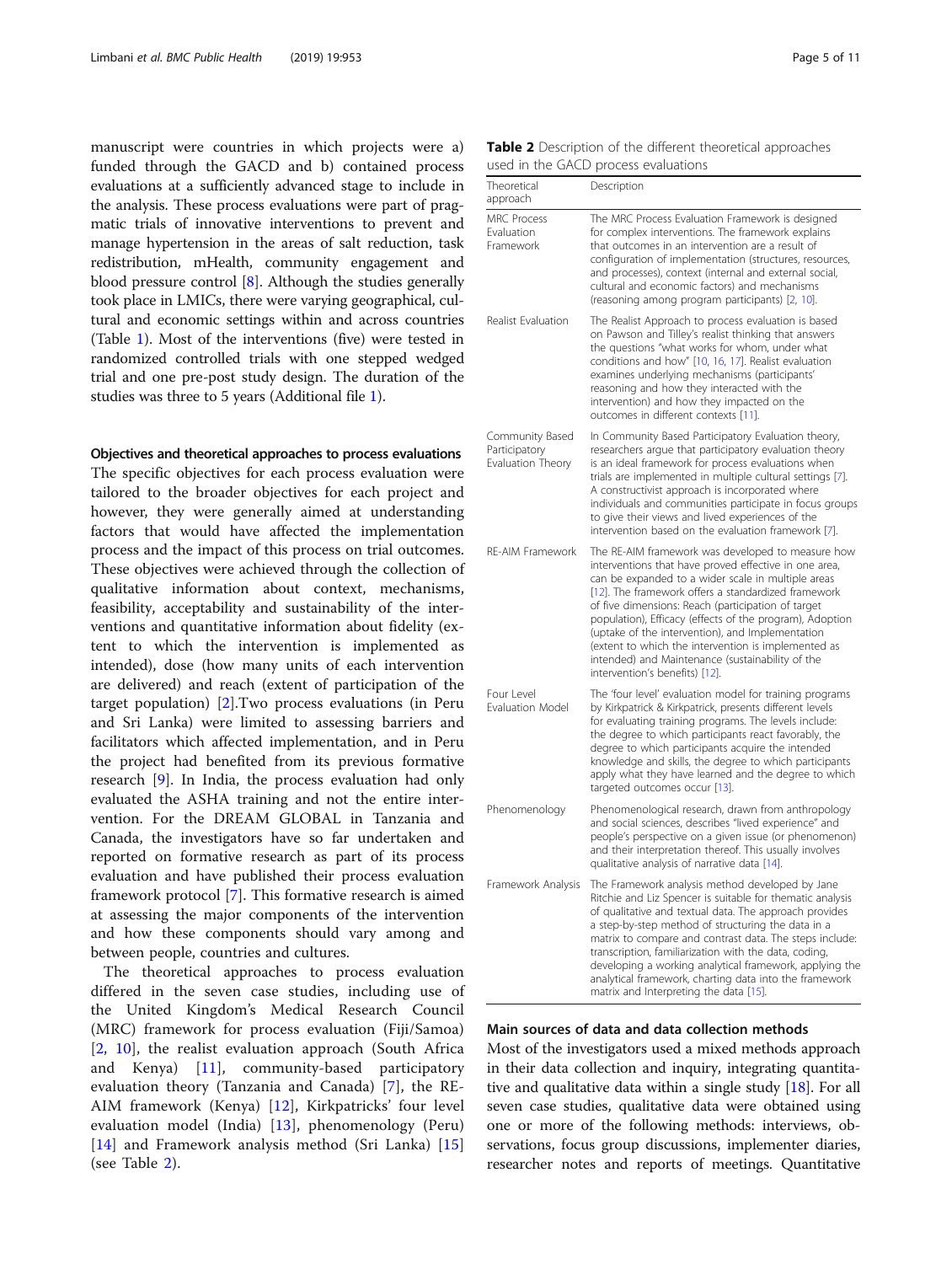manuscript were countries in which projects were a) funded through the GACD and b) contained process evaluations at a sufficiently advanced stage to include in the analysis. These process evaluations were part of pragmatic trials of innovative interventions to prevent and manage hypertension in the areas of salt reduction, task redistribution, mHealth, community engagement and blood pressure control [\[8](#page-10-0)]. Although the studies generally took place in LMICs, there were varying geographical, cultural and economic settings within and across countries (Table [1](#page-2-0)). Most of the interventions (five) were tested in randomized controlled trials with one stepped wedged trial and one pre-post study design. The duration of the studies was three to 5 years (Additional file [1](#page-9-0)).

# Objectives and theoretical approaches to process evaluations

The specific objectives for each process evaluation were tailored to the broader objectives for each project and however, they were generally aimed at understanding factors that would have affected the implementation process and the impact of this process on trial outcomes. These objectives were achieved through the collection of qualitative information about context, mechanisms, feasibility, acceptability and sustainability of the interventions and quantitative information about fidelity (extent to which the intervention is implemented as intended), dose (how many units of each intervention are delivered) and reach (extent of participation of the target population) [[2\]](#page-10-0).Two process evaluations (in Peru and Sri Lanka) were limited to assessing barriers and facilitators which affected implementation, and in Peru the project had benefited from its previous formative research [[9](#page-10-0)]. In India, the process evaluation had only evaluated the ASHA training and not the entire intervention. For the DREAM GLOBAL in Tanzania and Canada, the investigators have so far undertaken and reported on formative research as part of its process evaluation and have published their process evaluation framework protocol [[7\]](#page-10-0). This formative research is aimed at assessing the major components of the intervention and how these components should vary among and between people, countries and cultures.

The theoretical approaches to process evaluation differed in the seven case studies, including use of the United Kingdom's Medical Research Council (MRC) framework for process evaluation (Fiji/Samoa) [[2,](#page-10-0) [10](#page-10-0)], the realist evaluation approach (South Africa and Kenya) [[11\]](#page-10-0), community-based participatory evaluation theory (Tanzania and Canada) [\[7](#page-10-0)], the RE-AIM framework (Kenya) [\[12](#page-10-0)], Kirkpatricks' four level evaluation model (India) [\[13](#page-10-0)], phenomenology (Peru) [[14\]](#page-10-0) and Framework analysis method (Sri Lanka) [\[15](#page-10-0)] (see Table 2).

| Page 5 of 11 |  |  |  |  |
|--------------|--|--|--|--|
|--------------|--|--|--|--|

| Table 2 Description of the different theoretical approaches |  |  |
|-------------------------------------------------------------|--|--|
| used in the GACD process evaluations                        |  |  |

| Theoretical<br>approach                               | Description                                                                                                                                                                                                                                                                                                                                                                                                                                                                                                                                |
|-------------------------------------------------------|--------------------------------------------------------------------------------------------------------------------------------------------------------------------------------------------------------------------------------------------------------------------------------------------------------------------------------------------------------------------------------------------------------------------------------------------------------------------------------------------------------------------------------------------|
| <b>MRC Process</b><br>Evaluation<br>Framework         | The MRC Process Evaluation Framework is designed<br>for complex interventions. The framework explains<br>that outcomes in an intervention are a result of<br>configuration of implementation (structures, resources,<br>and processes), context (internal and external social,<br>cultural and economic factors) and mechanisms<br>(reasoning among program participants) [2, 10].                                                                                                                                                         |
| Realist Evaluation                                    | The Realist Approach to process evaluation is based<br>on Pawson and Tilley's realist thinking that answers<br>the questions "what works for whom, under what<br>conditions and how" [10, 16, 17]. Realist evaluation<br>examines underlying mechanisms (participants'<br>reasoning and how they interacted with the<br>intervention) and how they impacted on the<br>outcomes in different contexts [11].                                                                                                                                 |
| Community Based<br>Participatory<br>Evaluation Theory | In Community Based Participatory Evaluation theory,<br>researchers argue that participatory evaluation theory<br>is an ideal framework for process evaluations when<br>trials are implemented in multiple cultural settings [7].<br>A constructivist approach is incorporated where<br>individuals and communities participate in focus groups<br>to give their views and lived experiences of the<br>intervention based on the evaluation framework [7].                                                                                  |
| <b>RE-AIM Framework</b>                               | The RE-AIM framework was developed to measure how<br>interventions that have proved effective in one area,<br>can be expanded to a wider scale in multiple areas<br>[12]. The framework offers a standardized framework<br>of five dimensions: Reach (participation of target<br>population), Efficacy (effects of the program), Adoption<br>(uptake of the intervention), and Implementation<br>(extent to which the intervention is implemented as<br>intended) and Maintenance (sustainability of the<br>intervention's benefits) [12]. |
| Four Level<br><b>Evaluation Model</b>                 | The 'four level' evaluation model for training programs<br>by Kirkpatrick & Kirkpatrick, presents different levels<br>for evaluating training programs. The levels include:<br>the degree to which participants react favorably, the<br>degree to which participants acquire the intended<br>knowledge and skills, the degree to which participants<br>apply what they have learned and the degree to which<br>targeted outcomes occur [13].                                                                                               |
| Phenomenology                                         | Phenomenological research, drawn from anthropology<br>and social sciences, describes "lived experience" and<br>people's perspective on a given issue (or phenomenon)<br>and their interpretation thereof. This usually involves<br>qualitative analysis of narrative data [14].                                                                                                                                                                                                                                                            |
| Framework Analysis                                    | The Framework analysis method developed by Jane<br>Ritchie and Liz Spencer is suitable for thematic analysis<br>of qualitative and textual data. The approach provides<br>a step-by-step method of structuring the data in a<br>matrix to compare and contrast data. The steps include:<br>transcription, familiarization with the data, coding,<br>developing a working analytical framework, applying the<br>analytical framework, charting data into the framework<br>matrix and Interpreting the data [15].                            |

# Main sources of data and data collection methods

Most of the investigators used a mixed methods approach in their data collection and inquiry, integrating quantitative and qualitative data within a single study [\[18](#page-10-0)]. For all seven case studies, qualitative data were obtained using one or more of the following methods: interviews, observations, focus group discussions, implementer diaries, researcher notes and reports of meetings. Quantitative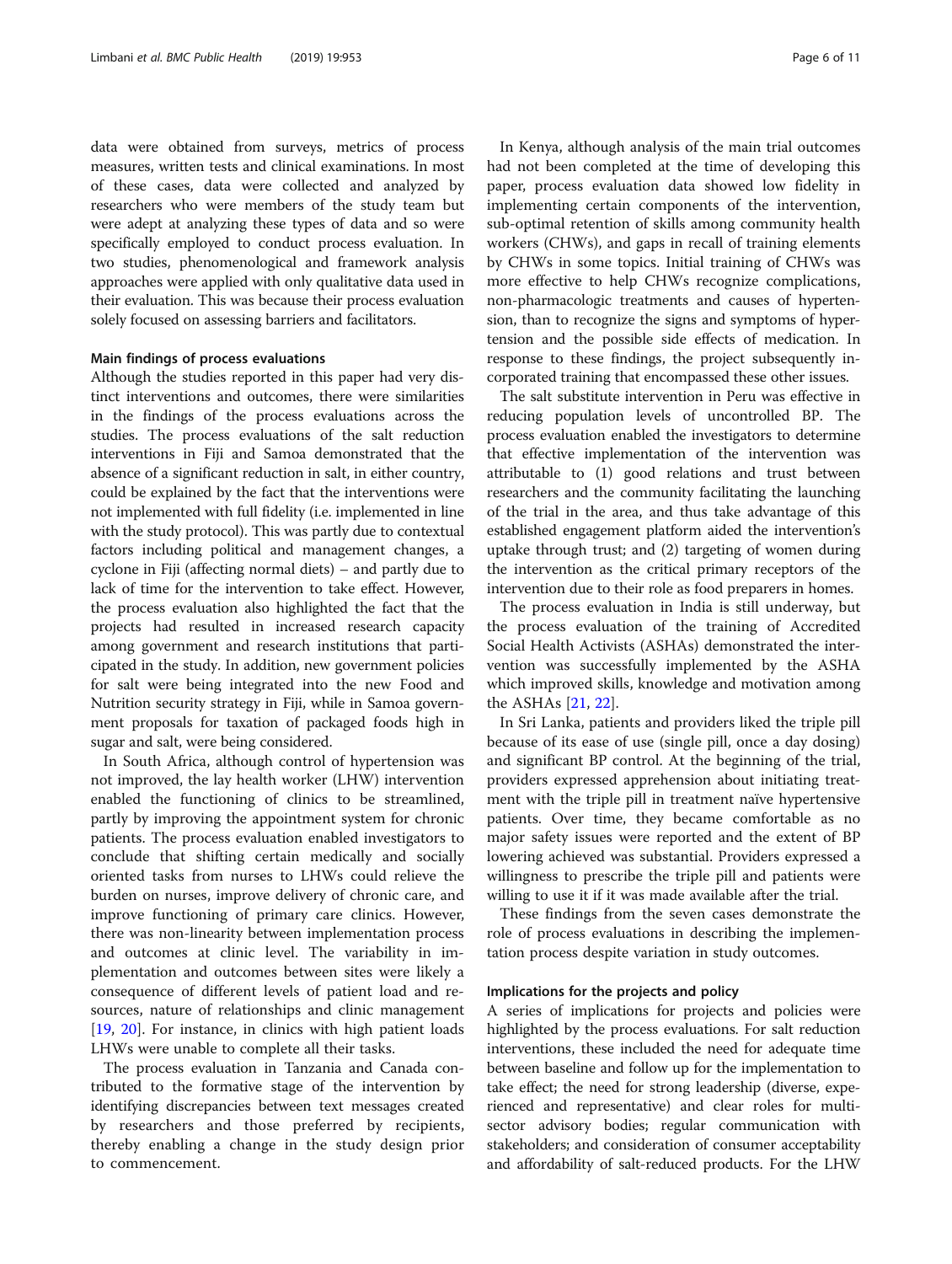data were obtained from surveys, metrics of process measures, written tests and clinical examinations. In most of these cases, data were collected and analyzed by researchers who were members of the study team but were adept at analyzing these types of data and so were specifically employed to conduct process evaluation. In two studies, phenomenological and framework analysis approaches were applied with only qualitative data used in their evaluation. This was because their process evaluation solely focused on assessing barriers and facilitators.

# Main findings of process evaluations

Although the studies reported in this paper had very distinct interventions and outcomes, there were similarities in the findings of the process evaluations across the studies. The process evaluations of the salt reduction interventions in Fiji and Samoa demonstrated that the absence of a significant reduction in salt, in either country, could be explained by the fact that the interventions were not implemented with full fidelity (i.e. implemented in line with the study protocol). This was partly due to contextual factors including political and management changes, a cyclone in Fiji (affecting normal diets) – and partly due to lack of time for the intervention to take effect. However, the process evaluation also highlighted the fact that the projects had resulted in increased research capacity among government and research institutions that participated in the study. In addition, new government policies for salt were being integrated into the new Food and Nutrition security strategy in Fiji, while in Samoa government proposals for taxation of packaged foods high in sugar and salt, were being considered.

In South Africa, although control of hypertension was not improved, the lay health worker (LHW) intervention enabled the functioning of clinics to be streamlined, partly by improving the appointment system for chronic patients. The process evaluation enabled investigators to conclude that shifting certain medically and socially oriented tasks from nurses to LHWs could relieve the burden on nurses, improve delivery of chronic care, and improve functioning of primary care clinics. However, there was non-linearity between implementation process and outcomes at clinic level. The variability in implementation and outcomes between sites were likely a consequence of different levels of patient load and resources, nature of relationships and clinic management [[19,](#page-10-0) [20\]](#page-10-0). For instance, in clinics with high patient loads LHWs were unable to complete all their tasks.

The process evaluation in Tanzania and Canada contributed to the formative stage of the intervention by identifying discrepancies between text messages created by researchers and those preferred by recipients, thereby enabling a change in the study design prior to commencement.

In Kenya, although analysis of the main trial outcomes had not been completed at the time of developing this paper, process evaluation data showed low fidelity in implementing certain components of the intervention, sub-optimal retention of skills among community health workers (CHWs), and gaps in recall of training elements by CHWs in some topics. Initial training of CHWs was more effective to help CHWs recognize complications, non-pharmacologic treatments and causes of hypertension, than to recognize the signs and symptoms of hypertension and the possible side effects of medication. In response to these findings, the project subsequently incorporated training that encompassed these other issues.

The salt substitute intervention in Peru was effective in reducing population levels of uncontrolled BP. The process evaluation enabled the investigators to determine that effective implementation of the intervention was attributable to (1) good relations and trust between researchers and the community facilitating the launching of the trial in the area, and thus take advantage of this established engagement platform aided the intervention's uptake through trust; and (2) targeting of women during the intervention as the critical primary receptors of the intervention due to their role as food preparers in homes.

The process evaluation in India is still underway, but the process evaluation of the training of Accredited Social Health Activists (ASHAs) demonstrated the intervention was successfully implemented by the ASHA which improved skills, knowledge and motivation among the ASHAs [\[21](#page-10-0), [22](#page-10-0)].

In Sri Lanka, patients and providers liked the triple pill because of its ease of use (single pill, once a day dosing) and significant BP control. At the beginning of the trial, providers expressed apprehension about initiating treatment with the triple pill in treatment naïve hypertensive patients. Over time, they became comfortable as no major safety issues were reported and the extent of BP lowering achieved was substantial. Providers expressed a willingness to prescribe the triple pill and patients were willing to use it if it was made available after the trial.

These findings from the seven cases demonstrate the role of process evaluations in describing the implementation process despite variation in study outcomes.

# Implications for the projects and policy

A series of implications for projects and policies were highlighted by the process evaluations. For salt reduction interventions, these included the need for adequate time between baseline and follow up for the implementation to take effect; the need for strong leadership (diverse, experienced and representative) and clear roles for multisector advisory bodies; regular communication with stakeholders; and consideration of consumer acceptability and affordability of salt-reduced products. For the LHW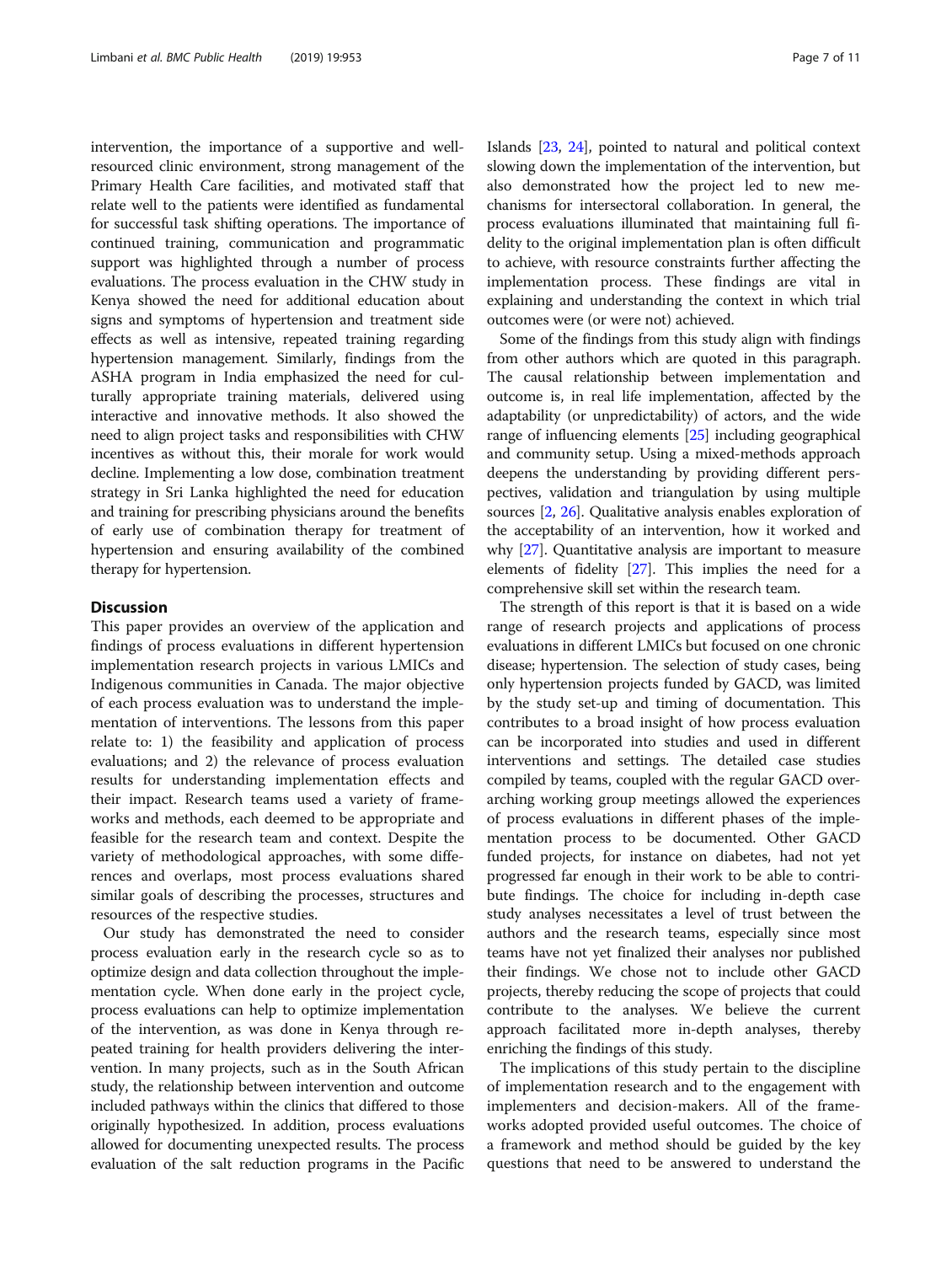intervention, the importance of a supportive and wellresourced clinic environment, strong management of the Primary Health Care facilities, and motivated staff that relate well to the patients were identified as fundamental for successful task shifting operations. The importance of continued training, communication and programmatic support was highlighted through a number of process evaluations. The process evaluation in the CHW study in Kenya showed the need for additional education about signs and symptoms of hypertension and treatment side effects as well as intensive, repeated training regarding hypertension management. Similarly, findings from the ASHA program in India emphasized the need for culturally appropriate training materials, delivered using interactive and innovative methods. It also showed the need to align project tasks and responsibilities with CHW incentives as without this, their morale for work would decline. Implementing a low dose, combination treatment strategy in Sri Lanka highlighted the need for education and training for prescribing physicians around the benefits of early use of combination therapy for treatment of hypertension and ensuring availability of the combined therapy for hypertension.

# **Discussion**

This paper provides an overview of the application and findings of process evaluations in different hypertension implementation research projects in various LMICs and Indigenous communities in Canada. The major objective of each process evaluation was to understand the implementation of interventions. The lessons from this paper relate to: 1) the feasibility and application of process evaluations; and 2) the relevance of process evaluation results for understanding implementation effects and their impact. Research teams used a variety of frameworks and methods, each deemed to be appropriate and feasible for the research team and context. Despite the variety of methodological approaches, with some differences and overlaps, most process evaluations shared similar goals of describing the processes, structures and resources of the respective studies.

Our study has demonstrated the need to consider process evaluation early in the research cycle so as to optimize design and data collection throughout the implementation cycle. When done early in the project cycle, process evaluations can help to optimize implementation of the intervention, as was done in Kenya through repeated training for health providers delivering the intervention. In many projects, such as in the South African study, the relationship between intervention and outcome included pathways within the clinics that differed to those originally hypothesized. In addition, process evaluations allowed for documenting unexpected results. The process evaluation of the salt reduction programs in the Pacific Islands [[23](#page-10-0), [24](#page-10-0)], pointed to natural and political context slowing down the implementation of the intervention, but also demonstrated how the project led to new mechanisms for intersectoral collaboration. In general, the process evaluations illuminated that maintaining full fidelity to the original implementation plan is often difficult to achieve, with resource constraints further affecting the implementation process. These findings are vital in explaining and understanding the context in which trial outcomes were (or were not) achieved.

Some of the findings from this study align with findings from other authors which are quoted in this paragraph. The causal relationship between implementation and outcome is, in real life implementation, affected by the adaptability (or unpredictability) of actors, and the wide range of influencing elements [\[25](#page-10-0)] including geographical and community setup. Using a mixed-methods approach deepens the understanding by providing different perspectives, validation and triangulation by using multiple sources [[2,](#page-10-0) [26\]](#page-10-0). Qualitative analysis enables exploration of the acceptability of an intervention, how it worked and why [[27](#page-10-0)]. Quantitative analysis are important to measure elements of fidelity [\[27](#page-10-0)]. This implies the need for a comprehensive skill set within the research team.

The strength of this report is that it is based on a wide range of research projects and applications of process evaluations in different LMICs but focused on one chronic disease; hypertension. The selection of study cases, being only hypertension projects funded by GACD, was limited by the study set-up and timing of documentation. This contributes to a broad insight of how process evaluation can be incorporated into studies and used in different interventions and settings. The detailed case studies compiled by teams, coupled with the regular GACD overarching working group meetings allowed the experiences of process evaluations in different phases of the implementation process to be documented. Other GACD funded projects, for instance on diabetes, had not yet progressed far enough in their work to be able to contribute findings. The choice for including in-depth case study analyses necessitates a level of trust between the authors and the research teams, especially since most teams have not yet finalized their analyses nor published their findings. We chose not to include other GACD projects, thereby reducing the scope of projects that could contribute to the analyses. We believe the current approach facilitated more in-depth analyses, thereby enriching the findings of this study.

The implications of this study pertain to the discipline of implementation research and to the engagement with implementers and decision-makers. All of the frameworks adopted provided useful outcomes. The choice of a framework and method should be guided by the key questions that need to be answered to understand the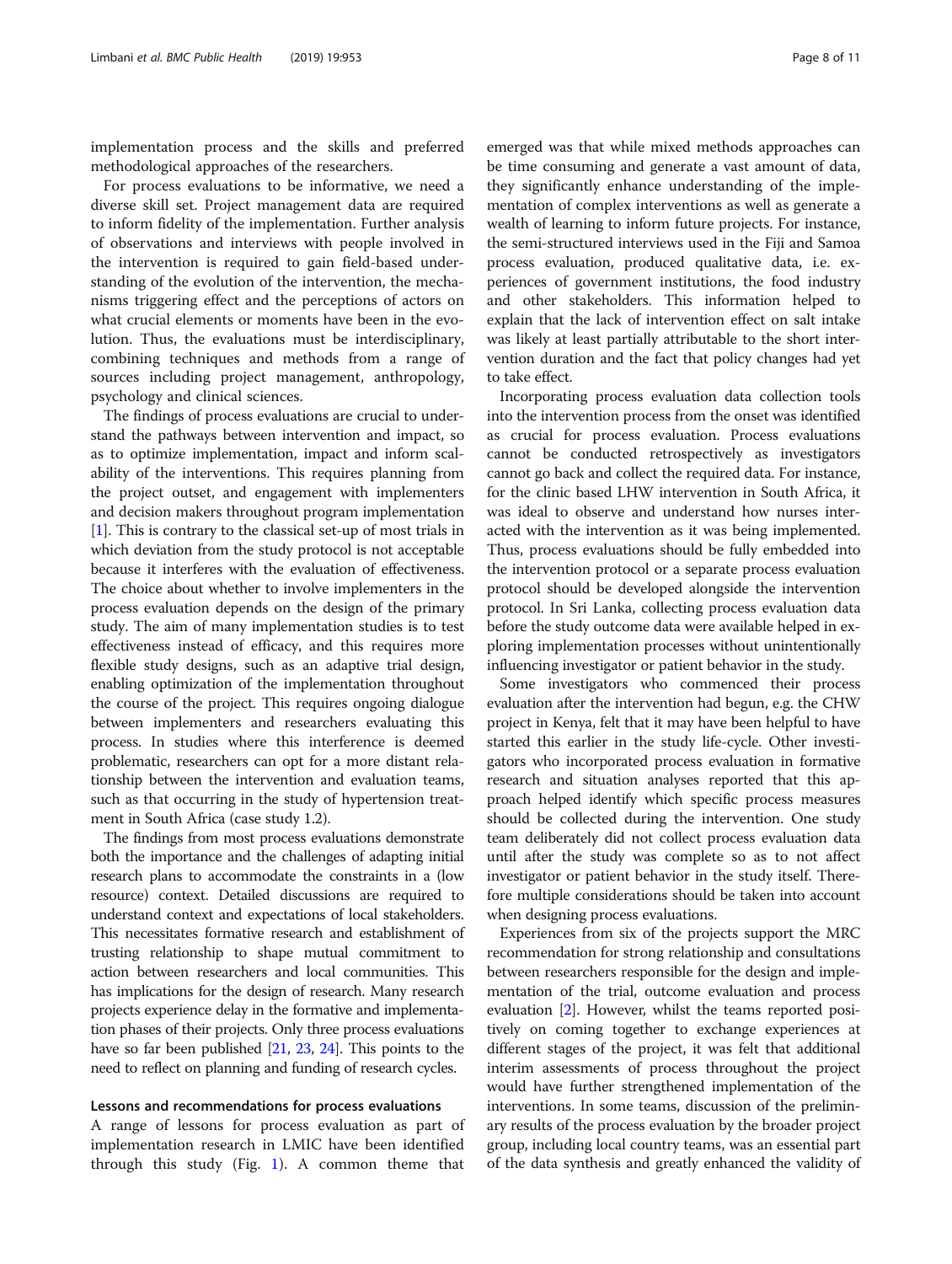implementation process and the skills and preferred methodological approaches of the researchers.

For process evaluations to be informative, we need a diverse skill set. Project management data are required to inform fidelity of the implementation. Further analysis of observations and interviews with people involved in the intervention is required to gain field-based understanding of the evolution of the intervention, the mechanisms triggering effect and the perceptions of actors on what crucial elements or moments have been in the evolution. Thus, the evaluations must be interdisciplinary, combining techniques and methods from a range of sources including project management, anthropology, psychology and clinical sciences.

The findings of process evaluations are crucial to understand the pathways between intervention and impact, so as to optimize implementation, impact and inform scalability of the interventions. This requires planning from the project outset, and engagement with implementers and decision makers throughout program implementation [[1\]](#page-10-0). This is contrary to the classical set-up of most trials in which deviation from the study protocol is not acceptable because it interferes with the evaluation of effectiveness. The choice about whether to involve implementers in the process evaluation depends on the design of the primary study. The aim of many implementation studies is to test effectiveness instead of efficacy, and this requires more flexible study designs, such as an adaptive trial design, enabling optimization of the implementation throughout the course of the project. This requires ongoing dialogue between implementers and researchers evaluating this process. In studies where this interference is deemed problematic, researchers can opt for a more distant relationship between the intervention and evaluation teams, such as that occurring in the study of hypertension treatment in South Africa (case study 1.2).

The findings from most process evaluations demonstrate both the importance and the challenges of adapting initial research plans to accommodate the constraints in a (low resource) context. Detailed discussions are required to understand context and expectations of local stakeholders. This necessitates formative research and establishment of trusting relationship to shape mutual commitment to action between researchers and local communities. This has implications for the design of research. Many research projects experience delay in the formative and implementation phases of their projects. Only three process evaluations have so far been published [\[21,](#page-10-0) [23,](#page-10-0) [24\]](#page-10-0). This points to the need to reflect on planning and funding of research cycles.

# Lessons and recommendations for process evaluations

A range of lessons for process evaluation as part of implementation research in LMIC have been identified through this study (Fig. [1\)](#page-8-0). A common theme that

emerged was that while mixed methods approaches can be time consuming and generate a vast amount of data, they significantly enhance understanding of the implementation of complex interventions as well as generate a wealth of learning to inform future projects. For instance, the semi-structured interviews used in the Fiji and Samoa process evaluation, produced qualitative data, i.e. experiences of government institutions, the food industry and other stakeholders. This information helped to explain that the lack of intervention effect on salt intake was likely at least partially attributable to the short intervention duration and the fact that policy changes had yet to take effect.

Incorporating process evaluation data collection tools into the intervention process from the onset was identified as crucial for process evaluation. Process evaluations cannot be conducted retrospectively as investigators cannot go back and collect the required data. For instance, for the clinic based LHW intervention in South Africa, it was ideal to observe and understand how nurses interacted with the intervention as it was being implemented. Thus, process evaluations should be fully embedded into the intervention protocol or a separate process evaluation protocol should be developed alongside the intervention protocol. In Sri Lanka, collecting process evaluation data before the study outcome data were available helped in exploring implementation processes without unintentionally influencing investigator or patient behavior in the study.

Some investigators who commenced their process evaluation after the intervention had begun, e.g. the CHW project in Kenya, felt that it may have been helpful to have started this earlier in the study life-cycle. Other investigators who incorporated process evaluation in formative research and situation analyses reported that this approach helped identify which specific process measures should be collected during the intervention. One study team deliberately did not collect process evaluation data until after the study was complete so as to not affect investigator or patient behavior in the study itself. Therefore multiple considerations should be taken into account when designing process evaluations.

Experiences from six of the projects support the MRC recommendation for strong relationship and consultations between researchers responsible for the design and implementation of the trial, outcome evaluation and process evaluation [\[2\]](#page-10-0). However, whilst the teams reported positively on coming together to exchange experiences at different stages of the project, it was felt that additional interim assessments of process throughout the project would have further strengthened implementation of the interventions. In some teams, discussion of the preliminary results of the process evaluation by the broader project group, including local country teams, was an essential part of the data synthesis and greatly enhanced the validity of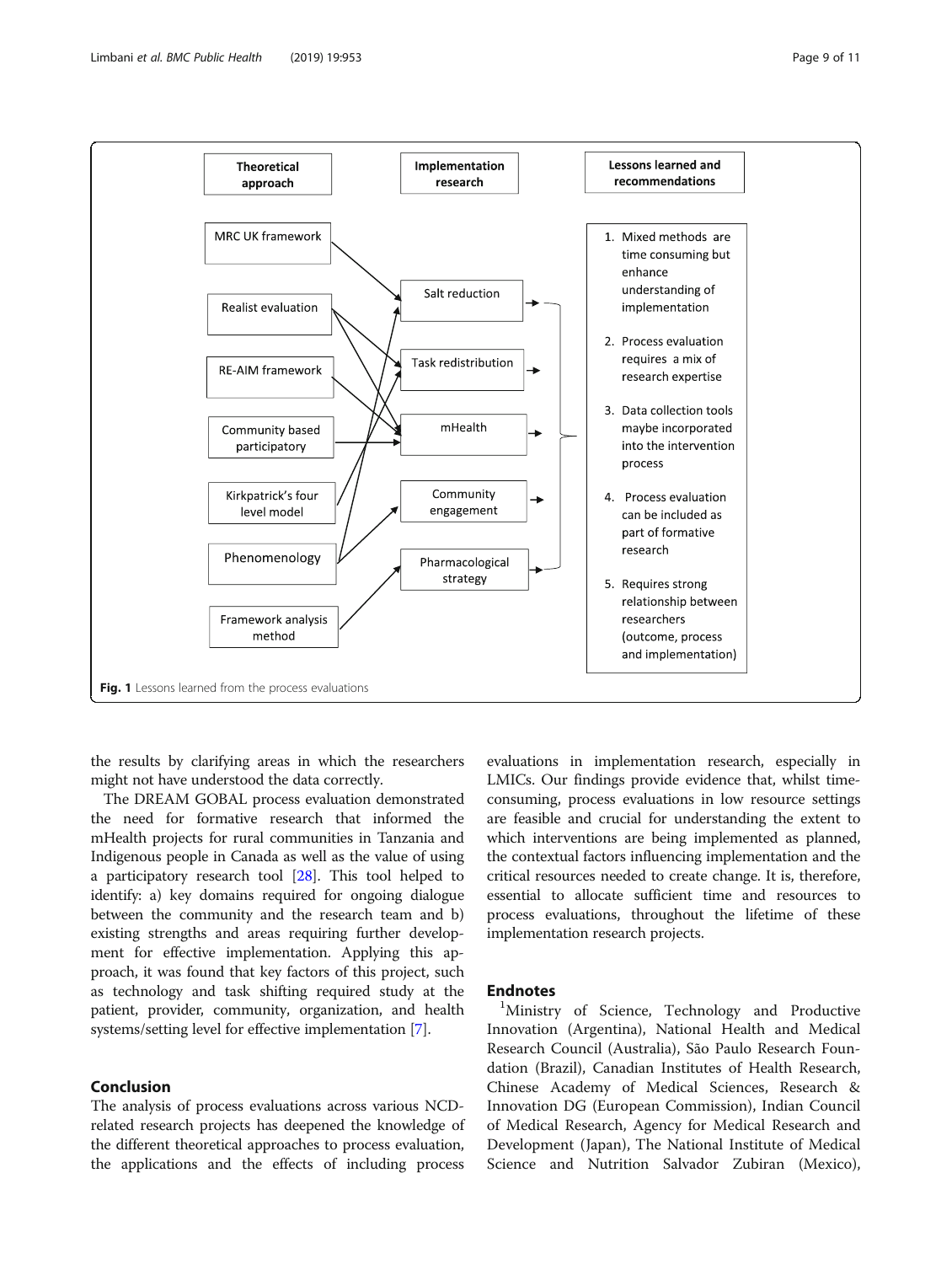<span id="page-8-0"></span>

the results by clarifying areas in which the researchers might not have understood the data correctly.

The DREAM GOBAL process evaluation demonstrated the need for formative research that informed the mHealth projects for rural communities in Tanzania and Indigenous people in Canada as well as the value of using a participatory research tool [[28](#page-10-0)]. This tool helped to identify: a) key domains required for ongoing dialogue between the community and the research team and b) existing strengths and areas requiring further development for effective implementation. Applying this approach, it was found that key factors of this project, such as technology and task shifting required study at the patient, provider, community, organization, and health systems/setting level for effective implementation [[7](#page-10-0)].

# Conclusion

The analysis of process evaluations across various NCDrelated research projects has deepened the knowledge of the different theoretical approaches to process evaluation, the applications and the effects of including process

evaluations in implementation research, especially in LMICs. Our findings provide evidence that, whilst timeconsuming, process evaluations in low resource settings are feasible and crucial for understanding the extent to which interventions are being implemented as planned, the contextual factors influencing implementation and the critical resources needed to create change. It is, therefore, essential to allocate sufficient time and resources to process evaluations, throughout the lifetime of these implementation research projects.

# **Endnotes**

<sup>1</sup>Ministry of Science, Technology and Productive Innovation (Argentina), National Health and Medical Research Council (Australia), São Paulo Research Foundation (Brazil), Canadian Institutes of Health Research, Chinese Academy of Medical Sciences, Research & Innovation DG (European Commission), Indian Council of Medical Research, Agency for Medical Research and Development (Japan), The National Institute of Medical Science and Nutrition Salvador Zubiran (Mexico),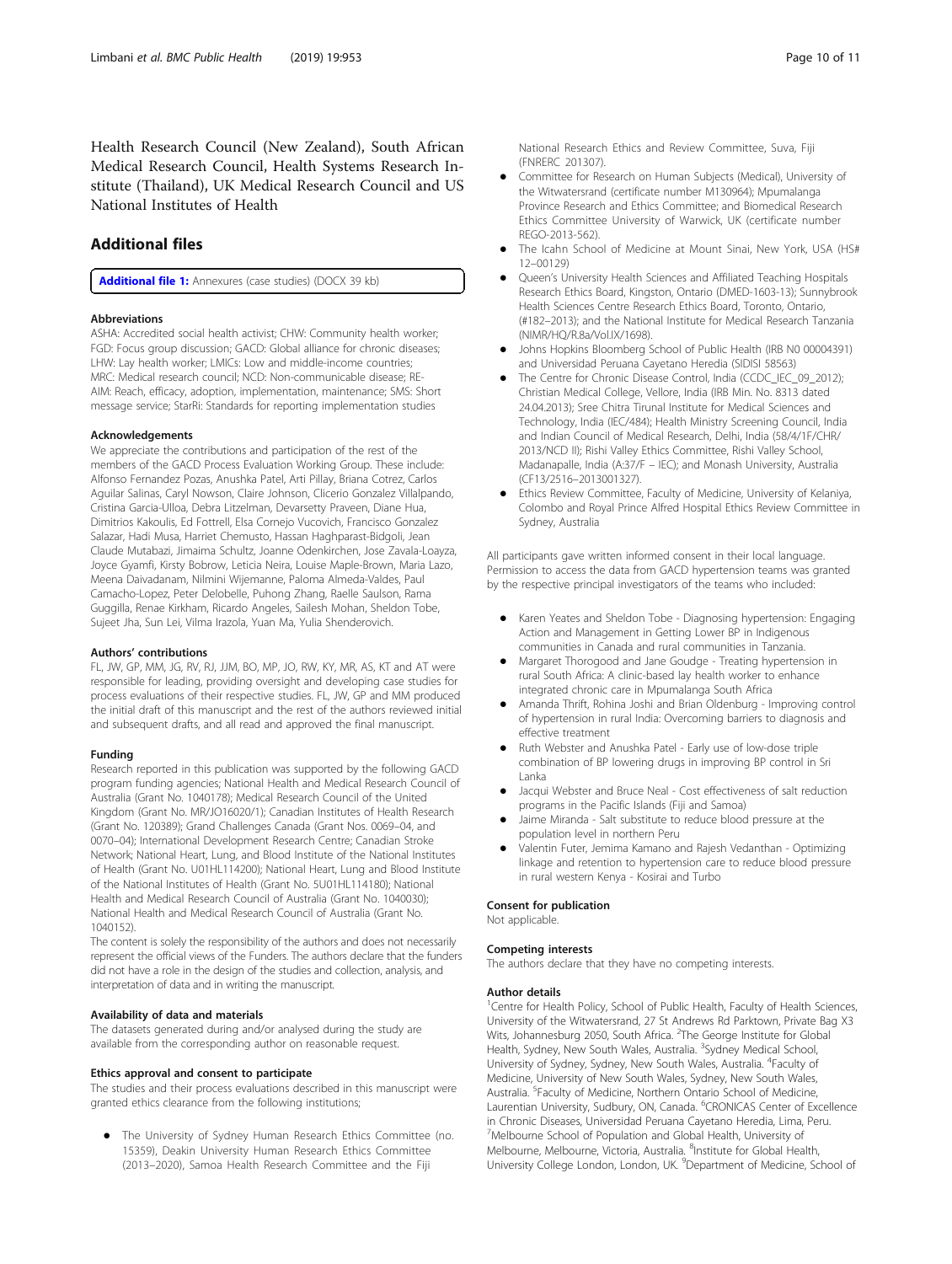<span id="page-9-0"></span>Health Research Council (New Zealand), South African Medical Research Council, Health Systems Research Institute (Thailand), UK Medical Research Council and US National Institutes of Health

# Additional files

[Additional file 1:](https://doi.org/10.1186/s12889-019-7261-8) Annexures (case studies) (DOCX 39 kb)

# Abbreviations

ASHA: Accredited social health activist; CHW: Community health worker; FGD: Focus group discussion; GACD: Global alliance for chronic diseases; LHW: Lay health worker; LMICs: Low and middle-income countries; MRC: Medical research council; NCD: Non-communicable disease; RE-AIM: Reach, efficacy, adoption, implementation, maintenance; SMS: Short message service; StarRi: Standards for reporting implementation studies

# Acknowledgements

We appreciate the contributions and participation of the rest of the members of the GACD Process Evaluation Working Group. These include: Alfonso Fernandez Pozas, Anushka Patel, Arti Pillay, Briana Cotrez, Carlos Aguilar Salinas, Caryl Nowson, Claire Johnson, Clicerio Gonzalez Villalpando, Cristina Garcia-Ulloa, Debra Litzelman, Devarsetty Praveen, Diane Hua, Dimitrios Kakoulis, Ed Fottrell, Elsa Cornejo Vucovich, Francisco Gonzalez Salazar, Hadi Musa, Harriet Chemusto, Hassan Haghparast-Bidgoli, Jean Claude Mutabazi, Jimaima Schultz, Joanne Odenkirchen, Jose Zavala-Loayza, Joyce Gyamfi, Kirsty Bobrow, Leticia Neira, Louise Maple-Brown, Maria Lazo, Meena Daivadanam, Nilmini Wijemanne, Paloma Almeda-Valdes, Paul Camacho-Lopez, Peter Delobelle, Puhong Zhang, Raelle Saulson, Rama Guggilla, Renae Kirkham, Ricardo Angeles, Sailesh Mohan, Sheldon Tobe, Sujeet Jha, Sun Lei, Vilma Irazola, Yuan Ma, Yulia Shenderovich.

# Authors' contributions

FL, JW, GP, MM, JG, RV, RJ, JJM, BO, MP, JO, RW, KY, MR, AS, KT and AT were responsible for leading, providing oversight and developing case studies for process evaluations of their respective studies. FL, JW, GP and MM produced the initial draft of this manuscript and the rest of the authors reviewed initial and subsequent drafts, and all read and approved the final manuscript.

#### Funding

Research reported in this publication was supported by the following GACD program funding agencies; National Health and Medical Research Council of Australia (Grant No. 1040178); Medical Research Council of the United Kingdom (Grant No. MR/JO16020/1); Canadian Institutes of Health Research (Grant No. 120389); Grand Challenges Canada (Grant Nos. 0069–04, and 0070–04); International Development Research Centre; Canadian Stroke Network; National Heart, Lung, and Blood Institute of the National Institutes of Health (Grant No. U01HL114200); National Heart, Lung and Blood Institute of the National Institutes of Health (Grant No. 5U01HL114180); National Health and Medical Research Council of Australia (Grant No. 1040030); National Health and Medical Research Council of Australia (Grant No. 1040152).

The content is solely the responsibility of the authors and does not necessarily represent the official views of the Funders. The authors declare that the funders did not have a role in the design of the studies and collection, analysis, and interpretation of data and in writing the manuscript.

## Availability of data and materials

The datasets generated during and/or analysed during the study are available from the corresponding author on reasonable request.

#### Ethics approval and consent to participate

The studies and their process evaluations described in this manuscript were granted ethics clearance from the following institutions;

 The University of Sydney Human Research Ethics Committee (no. 15359), Deakin University Human Research Ethics Committee (2013–2020), Samoa Health Research Committee and the Fiji

National Research Ethics and Review Committee, Suva, Fiji (FNRERC 201307).

- Committee for Research on Human Subjects (Medical), University of the Witwatersrand (certificate number M130964); Mpumalanga Province Research and Ethics Committee; and Biomedical Research Ethics Committee University of Warwick, UK (certificate number REGO-2013-562).
- The Icahn School of Medicine at Mount Sinai, New York, USA (HS# 12–00129)
- Queen's University Health Sciences and Affiliated Teaching Hospitals Research Ethics Board, Kingston, Ontario (DMED-1603-13); Sunnybrook Health Sciences Centre Research Ethics Board, Toronto, Ontario, (#182–2013); and the National Institute for Medical Research Tanzania (NIMR/HQ/R.8a/Vol.IX/1698).
- Johns Hopkins Bloomberg School of Public Health (IRB N0 00004391) and Universidad Peruana Cayetano Heredia (SIDISI 58563)
- The Centre for Chronic Disease Control, India (CCDC\_IEC\_09\_2012); Christian Medical College, Vellore, India (IRB Min. No. 8313 dated 24.04.2013); Sree Chitra Tirunal Institute for Medical Sciences and Technology, India (IEC/484); Health Ministry Screening Council, India and Indian Council of Medical Research, Delhi, India (58/4/1F/CHR/ 2013/NCD II); Rishi Valley Ethics Committee, Rishi Valley School, Madanapalle, India (A:37/F – IEC); and Monash University, Australia (CF13/2516–2013001327).
- Ethics Review Committee, Faculty of Medicine, University of Kelaniya, Colombo and Royal Prince Alfred Hospital Ethics Review Committee in Sydney, Australia

All participants gave written informed consent in their local language. Permission to access the data from GACD hypertension teams was granted by the respective principal investigators of the teams who included:

- Karen Yeates and Sheldon Tobe Diagnosing hypertension: Engaging Action and Management in Getting Lower BP in Indigenous communities in Canada and rural communities in Tanzania.
- Margaret Thorogood and Jane Goudge Treating hypertension in rural South Africa: A clinic-based lay health worker to enhance integrated chronic care in Mpumalanga South Africa
- Amanda Thrift, Rohina Joshi and Brian Oldenburg Improving control of hypertension in rural India: Overcoming barriers to diagnosis and effective treatment
- Ruth Webster and Anushka Patel Early use of low-dose triple combination of BP lowering drugs in improving BP control in Sri Lanka
- Jacqui Webster and Bruce Neal Cost effectiveness of salt reduction programs in the Pacific Islands (Fiji and Samoa)
- Jaime Miranda Salt substitute to reduce blood pressure at the population level in northern Peru
- Valentin Futer, Jemima Kamano and Rajesh Vedanthan Optimizing linkage and retention to hypertension care to reduce blood pressure in rural western Kenya - Kosirai and Turbo

# Consent for publication

Not applicable.

### Competing interests

The authors declare that they have no competing interests.

#### Author details

<sup>1</sup> Centre for Health Policy, School of Public Health, Faculty of Health Sciences, University of the Witwatersrand, 27 St Andrews Rd Parktown, Private Bag X3 Wits, Johannesburg 2050, South Africa. <sup>2</sup>The George Institute for Global Health, Sydney, New South Wales, Australia. <sup>3</sup>Sydney Medical School, University of Sydney, Sydney, New South Wales, Australia. <sup>4</sup>Faculty of Medicine, University of New South Wales, Sydney, New South Wales, Australia. <sup>5</sup> Faculty of Medicine, Northern Ontario School of Medicine, Laurentian University, Sudbury, ON, Canada. <sup>6</sup>CRONICAS Center of Excellence in Chronic Diseases, Universidad Peruana Cayetano Heredia, Lima, Peru. 7 Melbourne School of Population and Global Health, University of Melbourne, Melbourne, Victoria, Australia. <sup>8</sup>Institute for Global Health University College London, London, UK. <sup>9</sup>Department of Medicine, School of